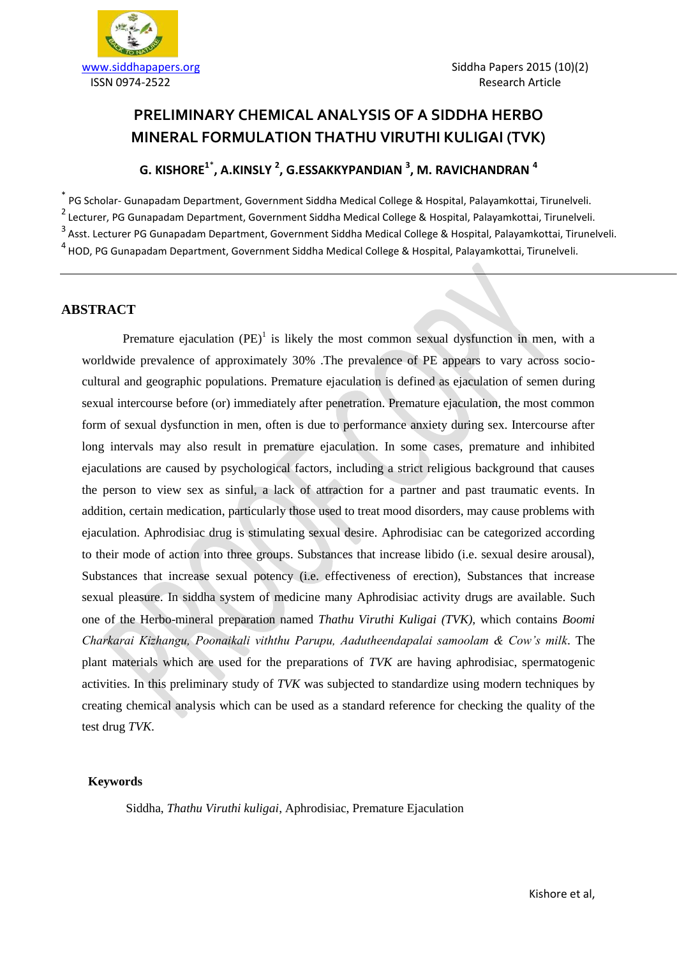

# **PRELIMINARY CHEMICAL ANALYSIS OF A SIDDHA HERBO MINERAL FORMULATION THATHU VIRUTHI KULIGAI (TVK)**

# **G. KISHORE<sup>1</sup>**\* **, A.KINSLY <sup>2</sup> , G.ESSAKKYPANDIAN <sup>3</sup> , M. RAVICHANDRAN <sup>4</sup>**

\* PG Scholar- Gunapadam Department, Government Siddha Medical College & Hospital, Palayamkottai, Tirunelveli. 2 Lecturer, PG Gunapadam Department, Government Siddha Medical College & Hospital, Palayamkottai, Tirunelveli. <sup>3</sup> Asst. Lecturer PG Gunapadam Department, Government Siddha Medical College & Hospital, Palayamkottai, Tirunelveli. 4 HOD, PG Gunapadam Department, Government Siddha Medical College & Hospital, Palayamkottai, Tirunelveli.

#### **ABSTRACT**

Premature ejaculation  $(PE)^1$  is likely the most common sexual dysfunction in men, with a worldwide prevalence of approximately 30% .The prevalence of PE appears to vary across sociocultural and geographic populations. Premature ejaculation is defined as ejaculation of semen during sexual intercourse before (or) immediately after penetration. Premature ejaculation, the most common form of sexual dysfunction in men, often is due to performance anxiety during sex. Intercourse after long intervals may also result in premature ejaculation. In some cases, premature and inhibited ejaculations are caused by psychological factors, including a strict religious background that causes the person to view sex as sinful, a lack of attraction for a partner and past traumatic events. In addition, certain medication, particularly those used to treat mood disorders, may cause problems with ejaculation. Aphrodisiac drug is stimulating sexual desire. Aphrodisiac can be categorized according to their mode of action into three groups. Substances that increase libido (i.e. sexual desire arousal), Substances that increase sexual potency (i.e. effectiveness of erection), Substances that increase sexual pleasure. In siddha system of medicine many Aphrodisiac activity drugs are available. Such one of the Herbo-mineral preparation named *Thathu Viruthi Kuligai (TVK),* which contains *Boomi Charkarai Kizhangu, Poonaikali viththu Parupu, Aadutheendapalai samoolam & Cow's milk.* The plant materials which are used for the preparations of *TVK* are having aphrodisiac, spermatogenic activities. In this preliminary study of *TVK* was subjected to standardize using modern techniques by creating chemical analysis which can be used as a standard reference for checking the quality of the test drug *TVK*.

#### **Keywords**

Siddha, *Thathu Viruthi kuligai*, Aphrodisiac, Premature Ejaculation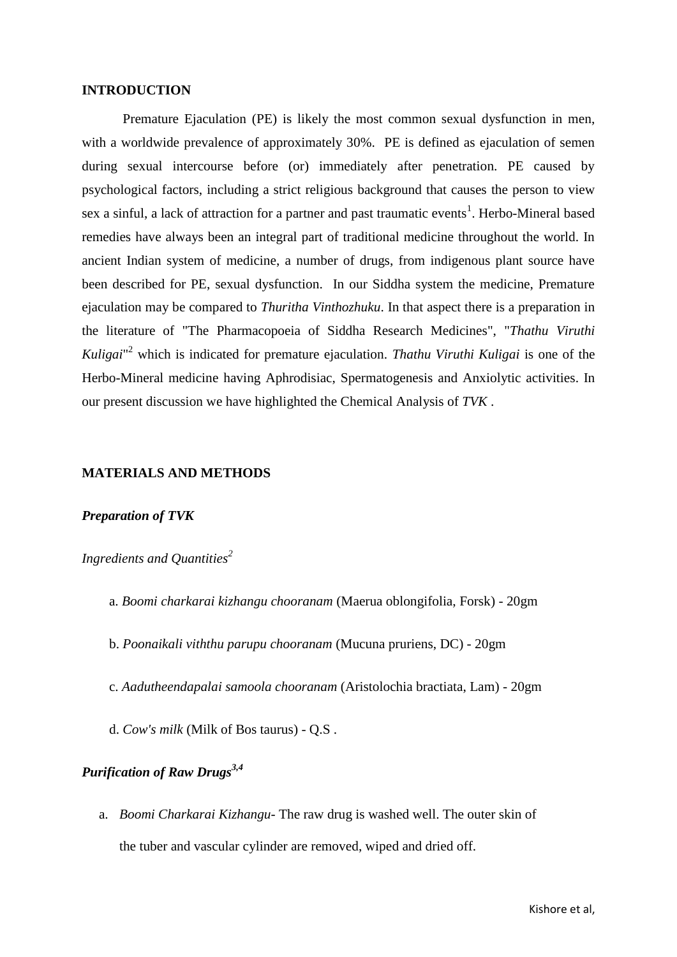#### **INTRODUCTION**

Premature Ejaculation (PE) is likely the most common sexual dysfunction in men, with a worldwide prevalence of approximately 30%. PE is defined as ejaculation of semen during sexual intercourse before (or) immediately after penetration. PE caused by psychological factors, including a strict religious background that causes the person to view sex a sinful, a lack of attraction for a partner and past traumatic events<sup>1</sup>. Herbo-Mineral based remedies have always been an integral part of traditional medicine throughout the world. In ancient Indian system of medicine, a number of drugs, from indigenous plant source have been described for PE, sexual dysfunction. In our Siddha system the medicine, Premature ejaculation may be compared to *Thuritha Vinthozhuku*. In that aspect there is a preparation in the literature of "The Pharmacopoeia of Siddha Research Medicines", "*Thathu Viruthi Kuligai*" <sup>2</sup> which is indicated for premature ejaculation. *Thathu Viruthi Kuligai* is one of the Herbo-Mineral medicine having Aphrodisiac, Spermatogenesis and Anxiolytic activities. In our present discussion we have highlighted the Chemical Analysis of *TVK* .

#### **MATERIALS AND METHODS**

#### *Preparation of TVK*

*Ingredients and Quantities<sup>2</sup>*

- a. *Boomi charkarai kizhangu chooranam* (Maerua oblongifolia, Forsk) 20gm
- b. *Poonaikali viththu parupu chooranam* (Mucuna pruriens, DC) 20gm
- c. *Aadutheendapalai samoola chooranam* (Aristolochia bractiata, Lam) 20gm
- d. *Cow's milk* (Milk of Bos taurus) Q.S .

# *Purification of Raw Drugs3,4*

a. *Boomi Charkarai Kizhangu*- The raw drug is washed well. The outer skin of the tuber and vascular cylinder are removed, wiped and dried off.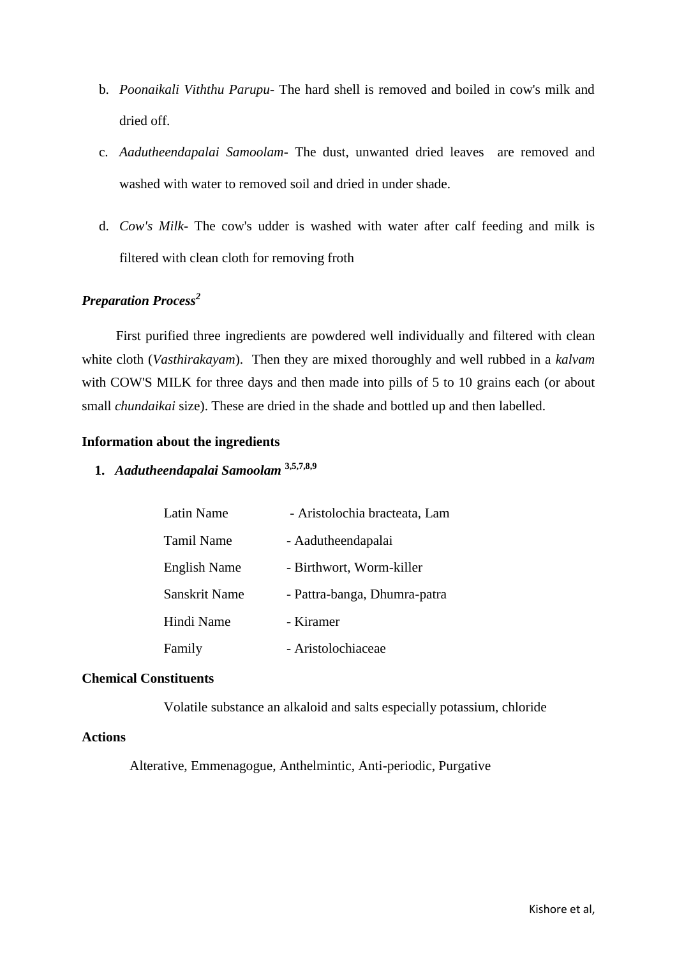- b. *Poonaikali Viththu Parupu* The hard shell is removed and boiled in cow's milk and dried off.
- c. *Aadutheendapalai Samoolam* The dust, unwanted dried leaves are removed and washed with water to removed soil and dried in under shade.
- d. *Cow's Milk* The cow's udder is washed with water after calf feeding and milk is filtered with clean cloth for removing froth

## *Preparation Process<sup>2</sup>*

 First purified three ingredients are powdered well individually and filtered with clean white cloth (*Vasthirakayam*). Then they are mixed thoroughly and well rubbed in a *kalvam* with COW'S MILK for three days and then made into pills of 5 to 10 grains each (or about small *chundaikai* size). These are dried in the shade and bottled up and then labelled.

#### **Information about the ingredients**

**1.** *Aadutheendapalai Samoolam* **3,5,7,8,9**

| Latin Name           | - Aristolochia bracteata, Lam |
|----------------------|-------------------------------|
| Tamil Name           | - Aadutheendapalai            |
| <b>English Name</b>  | - Birthwort, Worm-killer      |
| <b>Sanskrit Name</b> | - Pattra-banga, Dhumra-patra  |
| Hindi Name           | - Kiramer                     |
| Family               | - Aristolochiaceae            |

#### **Chemical Constituents**

Volatile substance an alkaloid and salts especially potassium, chloride

#### **Actions**

Alterative, Emmenagogue, Anthelmintic, Anti-periodic, Purgative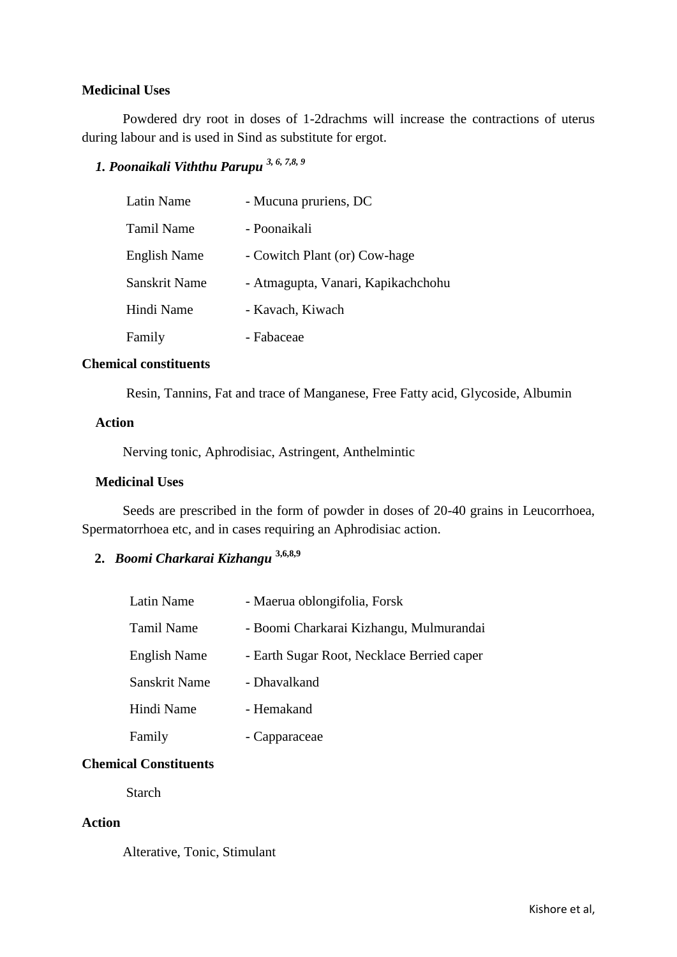#### **Medicinal Uses**

Powdered dry root in doses of 1-2drachms will increase the contractions of uterus during labour and is used in Sind as substitute for ergot.

# *1. Poonaikali Viththu Parupu 3, 6, 7,8, 9*

| Latin Name          | - Mucuna pruriens, DC              |
|---------------------|------------------------------------|
| Tamil Name          | - Poonaikali                       |
| <b>English Name</b> | - Cowitch Plant (or) Cow-hage      |
| Sanskrit Name       | - Atmagupta, Vanari, Kapikachchohu |
| Hindi Name          | - Kavach, Kiwach                   |
| Family              | - Fabaceae                         |

#### **Chemical constituents**

Resin, Tannins, Fat and trace of Manganese, Free Fatty acid, Glycoside, Albumin

#### **Action**

Nerving tonic, Aphrodisiac, Astringent, Anthelmintic

#### **Medicinal Uses**

 Seeds are prescribed in the form of powder in doses of 20-40 grains in Leucorrhoea, Spermatorrhoea etc, and in cases requiring an Aphrodisiac action.

# **2.** *Boomi Charkarai Kizhangu* **3,6,8,9**

| Latin Name          | - Maerua oblongifolia, Forsk               |
|---------------------|--------------------------------------------|
| <b>Tamil Name</b>   | - Boomi Charkarai Kizhangu, Mulmurandai    |
| <b>English Name</b> | - Earth Sugar Root, Necklace Berried caper |
| Sanskrit Name       | - Dhavalkand                               |
| Hindi Name          | - Hemakand                                 |
| Family              | - Capparaceae                              |

#### **Chemical Constituents**

Starch

#### **Action**

Alterative, Tonic, Stimulant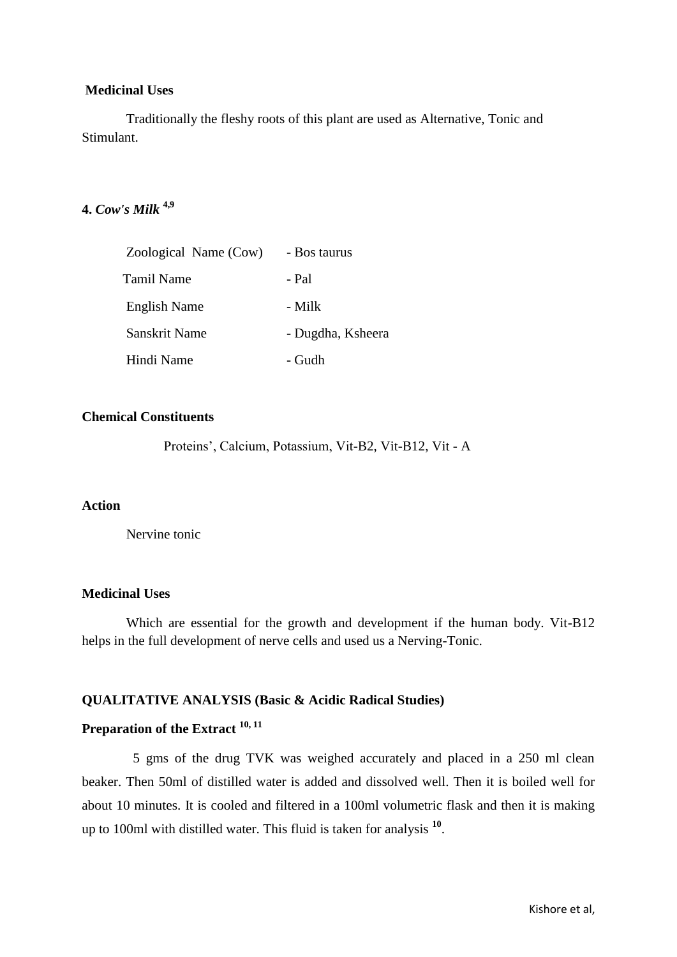#### **Medicinal Uses**

 Traditionally the fleshy roots of this plant are used as Alternative, Tonic and Stimulant.

## **4.** *Cow's Milk* **4,9**

| Zoological Name (Cow) | - Bos taurus      |
|-----------------------|-------------------|
| Tamil Name            | - Pal             |
| English Name          | - Milk            |
| Sanskrit Name         | - Dugdha, Ksheera |
| Hindi Name            | - Gudh            |

### **Chemical Constituents**

Proteins', Calcium, Potassium, Vit-B2, Vit-B12, Vit - A

#### **Action**

Nervine tonic

### **Medicinal Uses**

 Which are essential for the growth and development if the human body. Vit-B12 helps in the full development of nerve cells and used us a Nerving-Tonic.

#### **QUALITATIVE ANALYSIS (Basic & Acidic Radical Studies)**

## **Preparation of the Extract 10, 11**

 5 gms of the drug TVK was weighed accurately and placed in a 250 ml clean beaker. Then 50ml of distilled water is added and dissolved well. Then it is boiled well for about 10 minutes. It is cooled and filtered in a 100ml volumetric flask and then it is making up to 100ml with distilled water. This fluid is taken for analysis **<sup>10</sup>** .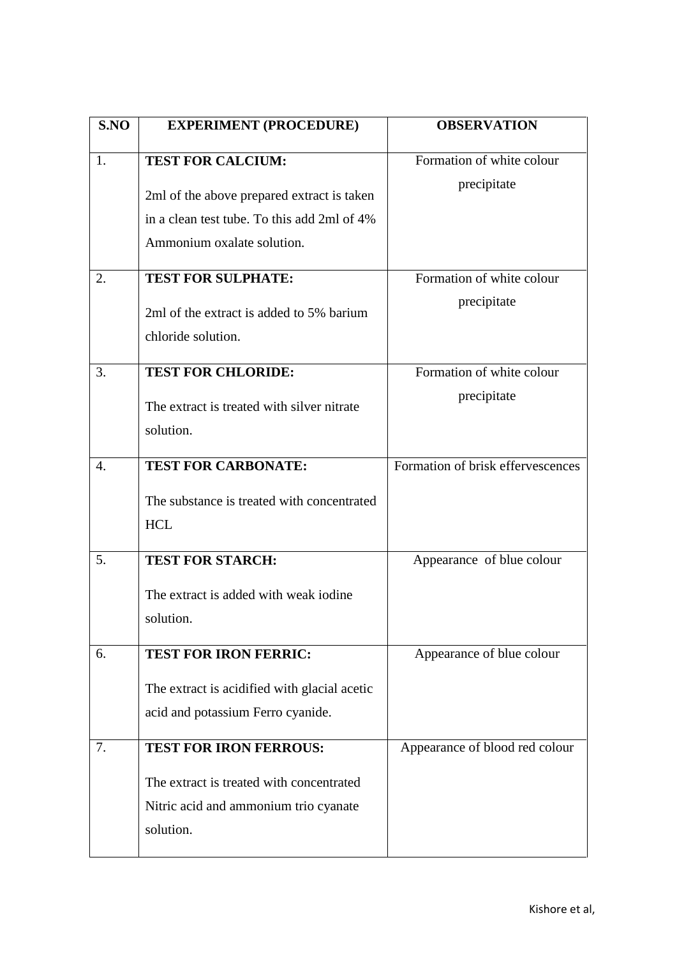| S.NO | <b>EXPERIMENT (PROCEDURE)</b>                                                                                           | <b>OBSERVATION</b>                |
|------|-------------------------------------------------------------------------------------------------------------------------|-----------------------------------|
| 1.   | <b>TEST FOR CALCIUM:</b>                                                                                                | Formation of white colour         |
|      | 2ml of the above prepared extract is taken<br>in a clean test tube. To this add 2ml of 4%<br>Ammonium oxalate solution. | precipitate                       |
| 2.   | <b>TEST FOR SULPHATE:</b>                                                                                               | Formation of white colour         |
|      | 2ml of the extract is added to 5% barium<br>chloride solution.                                                          | precipitate                       |
| 3.   | <b>TEST FOR CHLORIDE:</b>                                                                                               | Formation of white colour         |
|      | The extract is treated with silver nitrate<br>solution.                                                                 | precipitate                       |
| 4.   | <b>TEST FOR CARBONATE:</b>                                                                                              | Formation of brisk effervescences |
|      | The substance is treated with concentrated<br><b>HCL</b>                                                                |                                   |
| 5.   | <b>TEST FOR STARCH:</b>                                                                                                 | Appearance of blue colour         |
|      | The extract is added with weak iodine<br>solution.                                                                      |                                   |
| 6.   | <b>TEST FOR IRON FERRIC:</b>                                                                                            | Appearance of blue colour         |
|      | The extract is acidified with glacial acetic<br>acid and potassium Ferro cyanide.                                       |                                   |
| 7.   | <b>TEST FOR IRON FERROUS:</b>                                                                                           | Appearance of blood red colour    |
|      | The extract is treated with concentrated<br>Nitric acid and ammonium trio cyanate<br>solution.                          |                                   |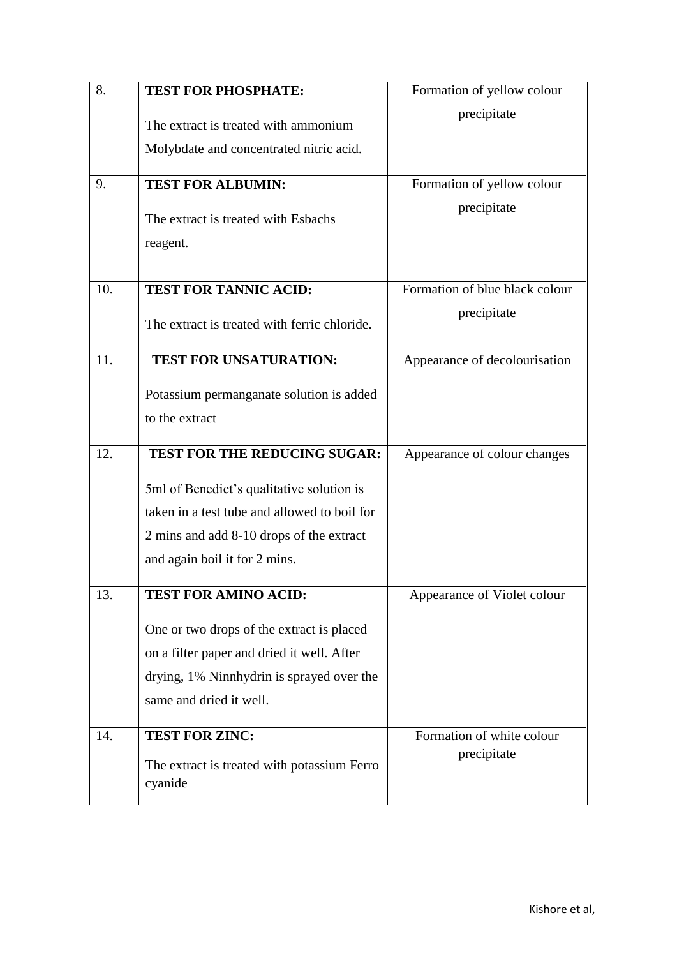| 8.  | <b>TEST FOR PHOSPHATE:</b>                             | Formation of yellow colour     |
|-----|--------------------------------------------------------|--------------------------------|
|     | The extract is treated with ammonium                   | precipitate                    |
|     | Molybdate and concentrated nitric acid.                |                                |
| 9.  | <b>TEST FOR ALBUMIN:</b>                               | Formation of yellow colour     |
|     | The extract is treated with Esbachs                    | precipitate                    |
|     | reagent.                                               |                                |
| 10. | <b>TEST FOR TANNIC ACID:</b>                           | Formation of blue black colour |
|     | The extract is treated with ferric chloride.           | precipitate                    |
| 11. | <b>TEST FOR UNSATURATION:</b>                          | Appearance of decolourisation  |
|     | Potassium permanganate solution is added               |                                |
|     | to the extract                                         |                                |
| 12. | TEST FOR THE REDUCING SUGAR:                           | Appearance of colour changes   |
|     | 5ml of Benedict's qualitative solution is              |                                |
|     | taken in a test tube and allowed to boil for           |                                |
|     | 2 mins and add 8-10 drops of the extract               |                                |
|     | and again boil it for 2 mins.                          |                                |
| 13. | <b>TEST FOR AMINO ACID:</b>                            | Appearance of Violet colour    |
|     | One or two drops of the extract is placed              |                                |
|     | on a filter paper and dried it well. After             |                                |
|     | drying, 1% Ninnhydrin is sprayed over the              |                                |
|     | same and dried it well.                                |                                |
| 14. | <b>TEST FOR ZINC:</b>                                  | Formation of white colour      |
|     | The extract is treated with potassium Ferro<br>cyanide | precipitate                    |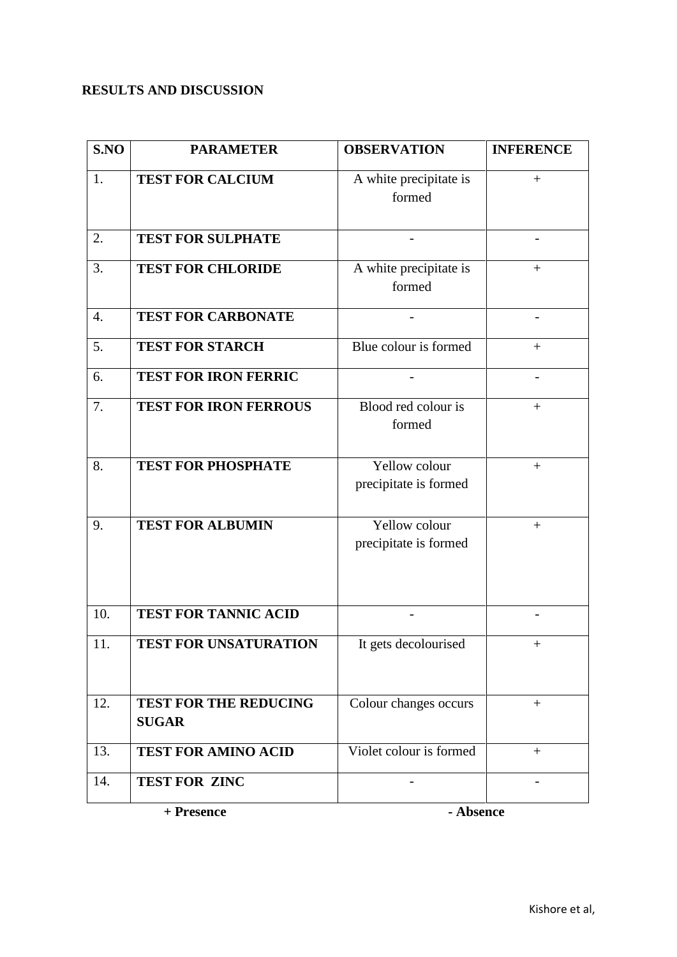# **RESULTS AND DISCUSSION**

| S.NO                    | <b>PARAMETER</b>                             | <b>OBSERVATION</b>                     | <b>INFERENCE</b>         |
|-------------------------|----------------------------------------------|----------------------------------------|--------------------------|
| 1.                      | <b>TEST FOR CALCIUM</b>                      | A white precipitate is<br>formed       | $+$                      |
| 2.                      | <b>TEST FOR SULPHATE</b>                     |                                        |                          |
| 3.                      | <b>TEST FOR CHLORIDE</b>                     | A white precipitate is<br>formed       | $+$                      |
| $\overline{4}$ .        | <b>TEST FOR CARBONATE</b>                    |                                        | $\overline{\phantom{a}}$ |
| 5.                      | <b>TEST FOR STARCH</b>                       | Blue colour is formed                  | $+$                      |
| 6.                      | <b>TEST FOR IRON FERRIC</b>                  |                                        |                          |
| 7.                      | <b>TEST FOR IRON FERROUS</b>                 | Blood red colour is<br>formed          | $^{+}$                   |
| 8.                      | <b>TEST FOR PHOSPHATE</b>                    | Yellow colour<br>precipitate is formed |                          |
| 9.                      | <b>TEST FOR ALBUMIN</b>                      | Yellow colour<br>precipitate is formed | $+$                      |
| 10.                     | <b>TEST FOR TANNIC ACID</b>                  |                                        |                          |
| 11.                     | TEST FOR UNSATURATION                        | It gets decolourised                   | $+$                      |
| 12.                     | <b>TEST FOR THE REDUCING</b><br><b>SUGAR</b> | Colour changes occurs                  | $+$                      |
| 13.                     | <b>TEST FOR AMINO ACID</b>                   | Violet colour is formed                | $+$                      |
| 14.                     | <b>TEST FOR ZINC</b>                         |                                        |                          |
| - Absence<br>+ Presence |                                              |                                        |                          |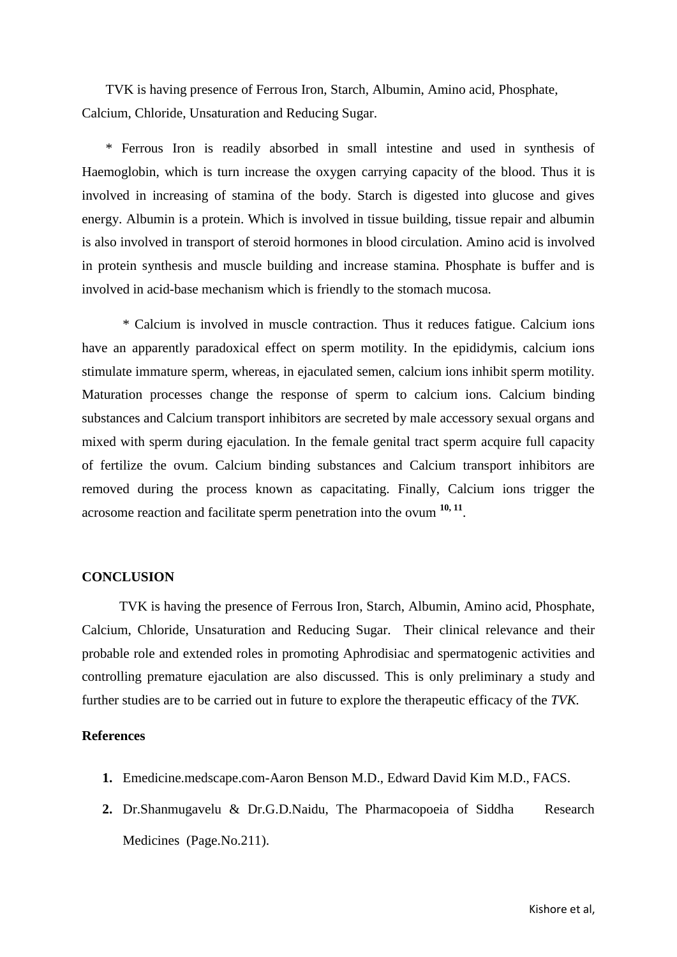TVK is having presence of Ferrous Iron, Starch, Albumin, Amino acid, Phosphate, Calcium, Chloride, Unsaturation and Reducing Sugar.

 \* Ferrous Iron is readily absorbed in small intestine and used in synthesis of Haemoglobin, which is turn increase the oxygen carrying capacity of the blood. Thus it is involved in increasing of stamina of the body. Starch is digested into glucose and gives energy. Albumin is a protein. Which is involved in tissue building, tissue repair and albumin is also involved in transport of steroid hormones in blood circulation. Amino acid is involved in protein synthesis and muscle building and increase stamina. Phosphate is buffer and is involved in acid-base mechanism which is friendly to the stomach mucosa.

\* Calcium is involved in muscle contraction. Thus it reduces fatigue. Calcium ions have an apparently paradoxical effect on sperm motility. In the epididymis, calcium ions stimulate immature sperm, whereas, in ejaculated semen, calcium ions inhibit sperm motility. Maturation processes change the response of sperm to calcium ions. Calcium binding substances and Calcium transport inhibitors are secreted by male accessory sexual organs and mixed with sperm during ejaculation. In the female genital tract sperm acquire full capacity of fertilize the ovum. Calcium binding substances and Calcium transport inhibitors are removed during the process known as capacitating. Finally, Calcium ions trigger the acrosome reaction and facilitate sperm penetration into the ovum **10, 11** .

#### **CONCLUSION**

 TVK is having the presence of Ferrous Iron, Starch, Albumin, Amino acid, Phosphate, Calcium, Chloride, Unsaturation and Reducing Sugar. Their clinical relevance and their probable role and extended roles in promoting Aphrodisiac and spermatogenic activities and controlling premature ejaculation are also discussed. This is only preliminary a study and further studies are to be carried out in future to explore the therapeutic efficacy of the *TVK.*

#### **References**

- **1.** Emedicine.medscape.com-Aaron Benson M.D., Edward David Kim M.D., FACS.
- 2. Dr.Shanmugavelu & Dr.G.D.Naidu, The Pharmacopoeia of Siddha Research Medicines (Page.No.211).